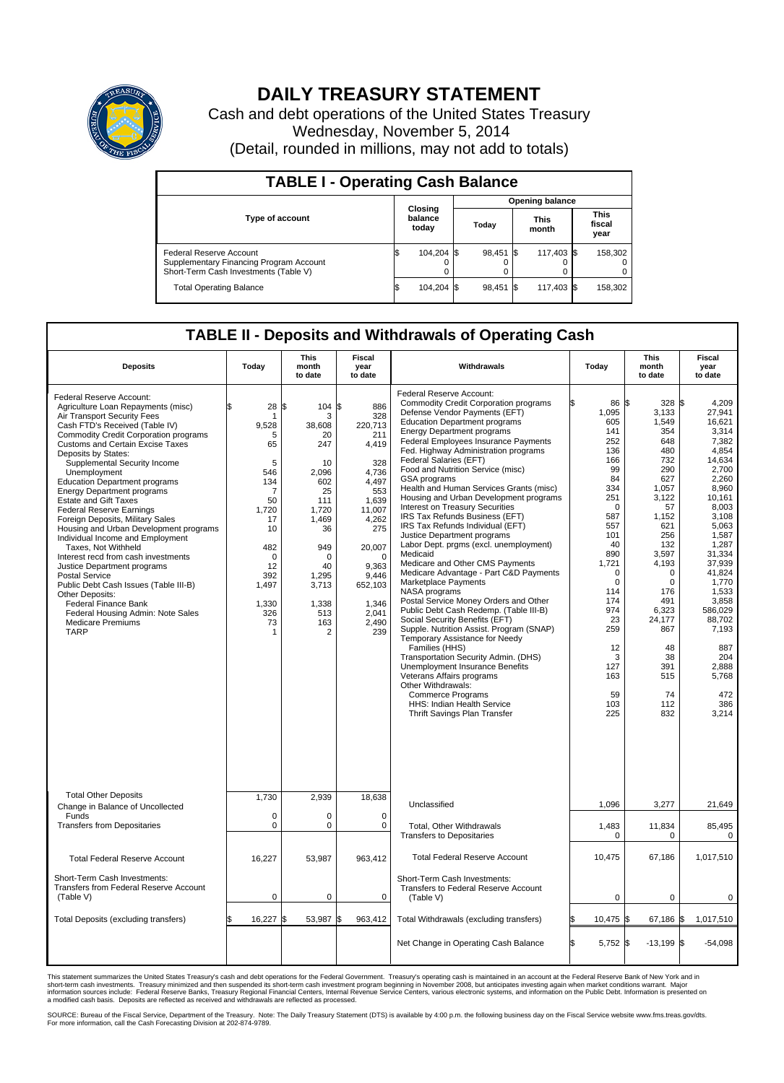

## **DAILY TREASURY STATEMENT**

Cash and debt operations of the United States Treasury Wednesday, November 5, 2014 (Detail, rounded in millions, may not add to totals)

| <b>TABLE I - Operating Cash Balance</b>                                                                     |    |                             |       |                        |  |                      |  |                               |  |
|-------------------------------------------------------------------------------------------------------------|----|-----------------------------|-------|------------------------|--|----------------------|--|-------------------------------|--|
|                                                                                                             |    |                             |       | <b>Opening balance</b> |  |                      |  |                               |  |
| <b>Type of account</b>                                                                                      |    | Closing<br>balance<br>today | Today |                        |  | <b>This</b><br>month |  | <b>This</b><br>fiscal<br>year |  |
| Federal Reserve Account<br>Supplementary Financing Program Account<br>Short-Term Cash Investments (Table V) |    | 104,204 \$                  |       | 98,451 \$              |  | 117,403 \$           |  | 158,302                       |  |
| <b>Total Operating Balance</b>                                                                              | ıъ | 104,204 \$                  |       | 98,451 \$              |  | 117,403 \$           |  | 158,302                       |  |

## **TABLE II - Deposits and Withdrawals of Operating Cash**

| <b>Deposits</b>                                                                                                                                                                                                                                                                                                                                                                                                                                                                                                                                                                                                                                                                                                                                                                                                                                               | Today                                                                                                                                                               | <b>This</b><br>month<br>to date                                                                                                                                           | <b>Fiscal</b><br>year<br>to date                                                                                                                                                              | Withdrawals                                                                                                                                                                                                                                                                                                                                                                                                                                                                                                                                                                                                                                                                                                                                                                                                                                                                                                                                                                                                                                                                                                                                                                                                               | Today                                                                                                                                                                                                                                                | <b>This</b><br>month<br>to date                                                                                                                                                                                                            | <b>Fiscal</b><br>year<br>to date                                                                                                                                                                                                                                                               |
|---------------------------------------------------------------------------------------------------------------------------------------------------------------------------------------------------------------------------------------------------------------------------------------------------------------------------------------------------------------------------------------------------------------------------------------------------------------------------------------------------------------------------------------------------------------------------------------------------------------------------------------------------------------------------------------------------------------------------------------------------------------------------------------------------------------------------------------------------------------|---------------------------------------------------------------------------------------------------------------------------------------------------------------------|---------------------------------------------------------------------------------------------------------------------------------------------------------------------------|-----------------------------------------------------------------------------------------------------------------------------------------------------------------------------------------------|---------------------------------------------------------------------------------------------------------------------------------------------------------------------------------------------------------------------------------------------------------------------------------------------------------------------------------------------------------------------------------------------------------------------------------------------------------------------------------------------------------------------------------------------------------------------------------------------------------------------------------------------------------------------------------------------------------------------------------------------------------------------------------------------------------------------------------------------------------------------------------------------------------------------------------------------------------------------------------------------------------------------------------------------------------------------------------------------------------------------------------------------------------------------------------------------------------------------------|------------------------------------------------------------------------------------------------------------------------------------------------------------------------------------------------------------------------------------------------------|--------------------------------------------------------------------------------------------------------------------------------------------------------------------------------------------------------------------------------------------|------------------------------------------------------------------------------------------------------------------------------------------------------------------------------------------------------------------------------------------------------------------------------------------------|
| Federal Reserve Account:<br>Agriculture Loan Repayments (misc)<br>Air Transport Security Fees<br>Cash FTD's Received (Table IV)<br><b>Commodity Credit Corporation programs</b><br><b>Customs and Certain Excise Taxes</b><br>Deposits by States:<br>Supplemental Security Income<br>Unemployment<br><b>Education Department programs</b><br><b>Energy Department programs</b><br><b>Estate and Gift Taxes</b><br><b>Federal Reserve Earnings</b><br>Foreign Deposits, Military Sales<br>Housing and Urban Development programs<br>Individual Income and Employment<br>Taxes. Not Withheld<br>Interest recd from cash investments<br>Justice Department programs<br><b>Postal Service</b><br>Public Debt Cash Issues (Table III-B)<br>Other Deposits:<br>Federal Finance Bank<br>Federal Housing Admin: Note Sales<br><b>Medicare Premiums</b><br><b>TARP</b> | \$<br>28<br>9,528<br>5<br>65<br>5<br>546<br>134<br>$\overline{7}$<br>50<br>1,720<br>17<br>10<br>482<br>$\mathbf 0$<br>12<br>392<br>1,497<br>1,330<br>326<br>73<br>1 | 104S<br>l\$<br>3<br>38,608<br>20<br>247<br>10<br>2.096<br>602<br>25<br>111<br>1,720<br>1,469<br>36<br>949<br>$\Omega$<br>40<br>1,295<br>3,713<br>1,338<br>513<br>163<br>2 | 886<br>328<br>220,713<br>211<br>4,419<br>328<br>4.736<br>4,497<br>553<br>1,639<br>11,007<br>4,262<br>275<br>20,007<br>$\Omega$<br>9,363<br>9,446<br>652,103<br>1,346<br>2.041<br>2,490<br>239 | Federal Reserve Account:<br><b>Commodity Credit Corporation programs</b><br>Defense Vendor Payments (EFT)<br><b>Education Department programs</b><br><b>Energy Department programs</b><br><b>Federal Employees Insurance Payments</b><br>Fed. Highway Administration programs<br>Federal Salaries (EFT)<br>Food and Nutrition Service (misc)<br><b>GSA</b> programs<br>Health and Human Services Grants (misc)<br>Housing and Urban Development programs<br>Interest on Treasury Securities<br>IRS Tax Refunds Business (EFT)<br>IRS Tax Refunds Individual (EFT)<br>Justice Department programs<br>Labor Dept. prgms (excl. unemployment)<br>Medicaid<br>Medicare and Other CMS Payments<br>Medicare Advantage - Part C&D Payments<br>Marketplace Payments<br>NASA programs<br>Postal Service Money Orders and Other<br>Public Debt Cash Redemp. (Table III-B)<br>Social Security Benefits (EFT)<br>Supple. Nutrition Assist. Program (SNAP)<br>Temporary Assistance for Needy<br>Families (HHS)<br>Transportation Security Admin. (DHS)<br>Unemployment Insurance Benefits<br>Veterans Affairs programs<br>Other Withdrawals:<br><b>Commerce Programs</b><br>HHS: Indian Health Service<br>Thrift Savings Plan Transfer | 86 \$<br>ß<br>1,095<br>605<br>141<br>252<br>136<br>166<br>99<br>84<br>334<br>251<br>$\Omega$<br>587<br>557<br>101<br>40<br>890<br>1,721<br>$\mathbf 0$<br>$\mathbf 0$<br>114<br>174<br>974<br>23<br>259<br>12<br>3<br>127<br>163<br>59<br>103<br>225 | 328 \$<br>3,133<br>1,549<br>354<br>648<br>480<br>732<br>290<br>627<br>1,057<br>3,122<br>57<br>1,152<br>621<br>256<br>132<br>3,597<br>4,193<br>0<br>0<br>176<br>491<br>6,323<br>24.177<br>867<br>48<br>38<br>391<br>515<br>74<br>112<br>832 | 4,209<br>27,941<br>16.621<br>3,314<br>7,382<br>4.854<br>14,634<br>2,700<br>2.260<br>8,960<br>10,161<br>8,003<br>3.108<br>5,063<br>1,587<br>1,287<br>31,334<br>37,939<br>41,824<br>1,770<br>1,533<br>3,858<br>586,029<br>88.702<br>7,193<br>887<br>204<br>2,888<br>5,768<br>472<br>386<br>3,214 |
| <b>Total Other Deposits</b><br>Change in Balance of Uncollected<br>Funds                                                                                                                                                                                                                                                                                                                                                                                                                                                                                                                                                                                                                                                                                                                                                                                      | 1.730<br>$\mathbf 0$                                                                                                                                                | 2.939<br>0                                                                                                                                                                | 18,638<br>$\mathbf 0$                                                                                                                                                                         | Unclassified                                                                                                                                                                                                                                                                                                                                                                                                                                                                                                                                                                                                                                                                                                                                                                                                                                                                                                                                                                                                                                                                                                                                                                                                              | 1,096                                                                                                                                                                                                                                                | 3,277                                                                                                                                                                                                                                      | 21,649                                                                                                                                                                                                                                                                                         |
| <b>Transfers from Depositaries</b>                                                                                                                                                                                                                                                                                                                                                                                                                                                                                                                                                                                                                                                                                                                                                                                                                            | $\pmb{0}$                                                                                                                                                           | 0                                                                                                                                                                         | 0                                                                                                                                                                                             | Total, Other Withdrawals<br><b>Transfers to Depositaries</b>                                                                                                                                                                                                                                                                                                                                                                                                                                                                                                                                                                                                                                                                                                                                                                                                                                                                                                                                                                                                                                                                                                                                                              | 1,483<br>$\mathbf 0$                                                                                                                                                                                                                                 | 11,834<br>0                                                                                                                                                                                                                                | 85,495<br>$\mathbf 0$                                                                                                                                                                                                                                                                          |
| <b>Total Federal Reserve Account</b>                                                                                                                                                                                                                                                                                                                                                                                                                                                                                                                                                                                                                                                                                                                                                                                                                          | 16,227                                                                                                                                                              | 53,987                                                                                                                                                                    | 963,412                                                                                                                                                                                       | <b>Total Federal Reserve Account</b>                                                                                                                                                                                                                                                                                                                                                                                                                                                                                                                                                                                                                                                                                                                                                                                                                                                                                                                                                                                                                                                                                                                                                                                      | 10,475                                                                                                                                                                                                                                               | 67,186                                                                                                                                                                                                                                     | 1,017,510                                                                                                                                                                                                                                                                                      |
| Short-Term Cash Investments:<br>Transfers from Federal Reserve Account<br>(Table V)                                                                                                                                                                                                                                                                                                                                                                                                                                                                                                                                                                                                                                                                                                                                                                           | $\pmb{0}$                                                                                                                                                           | 0                                                                                                                                                                         | 0                                                                                                                                                                                             | Short-Term Cash Investments:<br><b>Transfers to Federal Reserve Account</b><br>(Table V)                                                                                                                                                                                                                                                                                                                                                                                                                                                                                                                                                                                                                                                                                                                                                                                                                                                                                                                                                                                                                                                                                                                                  | 0                                                                                                                                                                                                                                                    | 0                                                                                                                                                                                                                                          | 0                                                                                                                                                                                                                                                                                              |
| Total Deposits (excluding transfers)                                                                                                                                                                                                                                                                                                                                                                                                                                                                                                                                                                                                                                                                                                                                                                                                                          | 16,227                                                                                                                                                              | 53,987<br>\$                                                                                                                                                              | 963,412<br>\$                                                                                                                                                                                 | Total Withdrawals (excluding transfers)                                                                                                                                                                                                                                                                                                                                                                                                                                                                                                                                                                                                                                                                                                                                                                                                                                                                                                                                                                                                                                                                                                                                                                                   | 10,475                                                                                                                                                                                                                                               | 67,186 \$<br>1\$                                                                                                                                                                                                                           | 1,017,510                                                                                                                                                                                                                                                                                      |
|                                                                                                                                                                                                                                                                                                                                                                                                                                                                                                                                                                                                                                                                                                                                                                                                                                                               |                                                                                                                                                                     |                                                                                                                                                                           |                                                                                                                                                                                               | Net Change in Operating Cash Balance                                                                                                                                                                                                                                                                                                                                                                                                                                                                                                                                                                                                                                                                                                                                                                                                                                                                                                                                                                                                                                                                                                                                                                                      | l\$<br>5,752 \$                                                                                                                                                                                                                                      | $-13,199$ \$                                                                                                                                                                                                                               | $-54,098$                                                                                                                                                                                                                                                                                      |

This statement summarizes the United States Treasury's cash and debt operations for the Federal Government. Treasury's operating cash is maintained in an account at the Federal Reserve Bank of New York and in<br>short-term ca

SOURCE: Bureau of the Fiscal Service, Department of the Treasury. Note: The Daily Treasury Statement (DTS) is available by 4:00 p.m. the following business day on the Fiscal Service website www.fms.treas.gov/dts.<br>For more